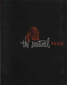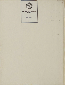

Accessive

 $\Delta \mathbf{r}$ 

Ski.

 $\label{eq:Ricci} \mathcal{E}(\mathbf{r}_i) = \mathcal{E}(\mathbf{r}_i) = \mathcal{E}(\mathbf{r}_i)$ 

×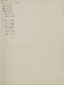#### DATE DUE

 $\mathbf{I}$ 

SEP 30 '52 12: AM

250

 $\mathcal{H}$ 

OCT 15 '52 9: PM

OCT 31'52 11: AM

NOV 13'52 11: AM CAN 29 '58 91 AM **BUL** 30'53 3: PM

OCT 5 '53 12: AM

#### 0CT 8'53 10: PE

OCT 15 '53 101 PM OCT 26 '53 10 PM

**ONDY 3 '53 101 PM**<br>FE 2 '54 101 PM

MY 18 '54 11 | AR

JUN 1 ~ '55 10: PM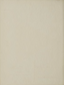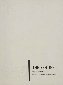## **THE SENTINEL**

ROBERT LINDBORG, Editor DOUGLAS ANDERSON, Business Manager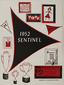



MONTANA

# 1952 *SENTINEL*



N/A TE M<sub>C</sub> **IVERSITY MIS TANA** 

PUBLISHED BY THE ASSOCIATED STUDENTS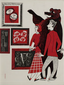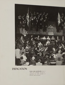

## DEDICATION

TO DR. CARL McFARLAND, Class of 1928, who on October 12th was in augurated the ninth president of Montana State University.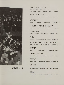

## CONTENTS

THE SCHOOL YEAR

SUMMER SESSION . . . ORIENTATION WEEK . . . HOMECOMING . . . FORESTER'S BALL . . . BARRISTER'S BALL . . . ABER DAY

ADMINISTRATION BOARD OF EDUCATION . . . ADMINISTRATION . . . FACULTY

STUDENTS SENIORS . . . JUNIORS . . . SOPHOMORES . . . FRESHMEN

STUDENTS ADMINISTRATION ASSOCIATED STUDENTS . . . ASMSU COMMITTEES . . . AWS

**PUBLICATIONS** KAIMIN . . . SENTINEL . . . MOUNTAINEER . . . FORESTRY KAIMIN

ARTS DRAMA . . . COMMITTEE CONCERTS . . . BAND . . . ORCHESTRA

HONORARIES § ORGANIZATIONS SPURS . . . BEARPAWS . . . SILENT SENTINEL . . . MORTAR BOARD

SPORTS VARSITY . . . . INTRAMURALS . . . . WOMEN'S ATHLETICS

LIVING GROUPS MEN'S AND WOMEN'S DORMATORIES - SYNADELPHIC HOUSE

**GREEKS** INTERFRATERNITY COUNCIL - PANHELLENIC - FRATERNITIES

#### **QUEENS**

HOMECOMING . . QUEEN OF HEARTS . . MARDI GRAS . . SIGMA CHI SWEETHEART . . MOONLIGHT GIRL . . MISS PHOTOGENIC

INDEX ADVERTISERS . . . FACULTY . . . STUDENTS . . . CLUBS